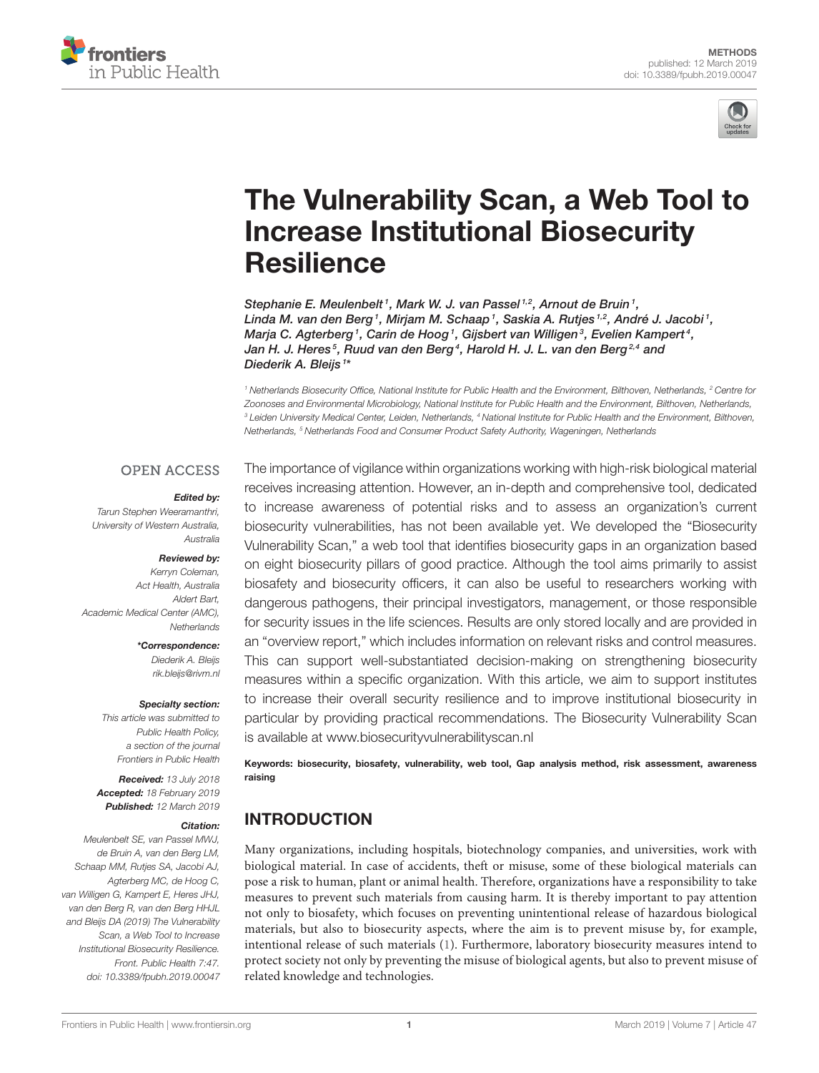



# [The Vulnerability Scan, a Web Tool to](https://www.frontiersin.org/articles/10.3389/fpubh.2019.00047/full) Increase Institutional Biosecurity **Resilience**

[Stephanie E. Meulenbelt](http://loop.frontiersin.org/people/587550/overview)<sup>1</sup>, [Mark W. J. van Passel](http://loop.frontiersin.org/people/143430/overview)<sup>1,2</sup>, Arnout de Bruin<sup>1</sup>, [Linda M. van den Berg](http://loop.frontiersin.org/people/175140/overview)1, Mirjam M. Schaap1, Saskia A. Rutjes1.2, André J. Jacobi1, Marja C. Agterberg1, Carin de Hoog1, Gijsbert van Willigen3, [Evelien Kampert](http://loop.frontiersin.org/people/175148/overview)4, Jan H. J. Heres<sup>5</sup>, Ruud van den Berg<sup>4</sup>, Harold H. J. L. van den Berg<sup>2,4</sup> and [Diederik A. Bleijs](http://loop.frontiersin.org/people/607277/overview) <sup>1</sup>\*

*<sup>1</sup> Netherlands Biosecurity Office, National Institute for Public Health and the Environment, Bilthoven, Netherlands, <sup>2</sup> Centre for Zoonoses and Environmental Microbiology, National Institute for Public Health and the Environment, Bilthoven, Netherlands, <sup>3</sup> Leiden University Medical Center, Leiden, Netherlands, <sup>4</sup> National Institute for Public Health and the Environment, Bilthoven, Netherlands, <sup>5</sup> Netherlands Food and Consumer Product Safety Authority, Wageningen, Netherlands*

#### **OPEN ACCESS**

#### Edited by:

*Tarun Stephen Weeramanthri, University of Western Australia, Australia*

#### Reviewed by:

*Kerryn Coleman, Act Health, Australia Aldert Bart, Academic Medical Center (AMC), Netherlands*

> \*Correspondence: *Diederik A. Bleijs [rik.bleijs@rivm.nl](mailto:rik.bleijs@rivm.nl)*

#### Specialty section:

*This article was submitted to Public Health Policy, a section of the journal Frontiers in Public Health*

Received: *13 July 2018* Accepted: *18 February 2019* Published: *12 March 2019*

#### Citation:

*Meulenbelt SE, van Passel MWJ, de Bruin A, van den Berg LM, Schaap MM, Rutjes SA, Jacobi AJ, Agterberg MC, de Hoog C, van Willigen G, Kampert E, Heres JHJ, van den Berg R, van den Berg HHJL and Bleijs DA (2019) The Vulnerability Scan, a Web Tool to Increase Institutional Biosecurity Resilience. Front. Public Health 7:47. doi: [10.3389/fpubh.2019.00047](https://doi.org/10.3389/fpubh.2019.00047)*

The importance of vigilance within organizations working with high-risk biological material receives increasing attention. However, an in-depth and comprehensive tool, dedicated to increase awareness of potential risks and to assess an organization's current biosecurity vulnerabilities, has not been available yet. We developed the "Biosecurity Vulnerability Scan," a web tool that identifies biosecurity gaps in an organization based on eight biosecurity pillars of good practice. Although the tool aims primarily to assist biosafety and biosecurity officers, it can also be useful to researchers working with dangerous pathogens, their principal investigators, management, or those responsible for security issues in the life sciences. Results are only stored locally and are provided in an "overview report," which includes information on relevant risks and control measures. This can support well-substantiated decision-making on strengthening biosecurity measures within a specific organization. With this article, we aim to support institutes to increase their overall security resilience and to improve institutional biosecurity in particular by providing practical recommendations. The Biosecurity Vulnerability Scan is available at<www.biosecurityvulnerabilityscan.nl>

Keywords: biosecurity, biosafety, vulnerability, web tool, Gap analysis method, risk assessment, awareness raising

# INTRODUCTION

Many organizations, including hospitals, biotechnology companies, and universities, work with biological material. In case of accidents, theft or misuse, some of these biological materials can pose a risk to human, plant or animal health. Therefore, organizations have a responsibility to take measures to prevent such materials from causing harm. It is thereby important to pay attention not only to biosafety, which focuses on preventing unintentional release of hazardous biological materials, but also to biosecurity aspects, where the aim is to prevent misuse by, for example, intentional release of such materials [\(1\)](#page-5-0). Furthermore, laboratory biosecurity measures intend to protect society not only by preventing the misuse of biological agents, but also to prevent misuse of related knowledge and technologies.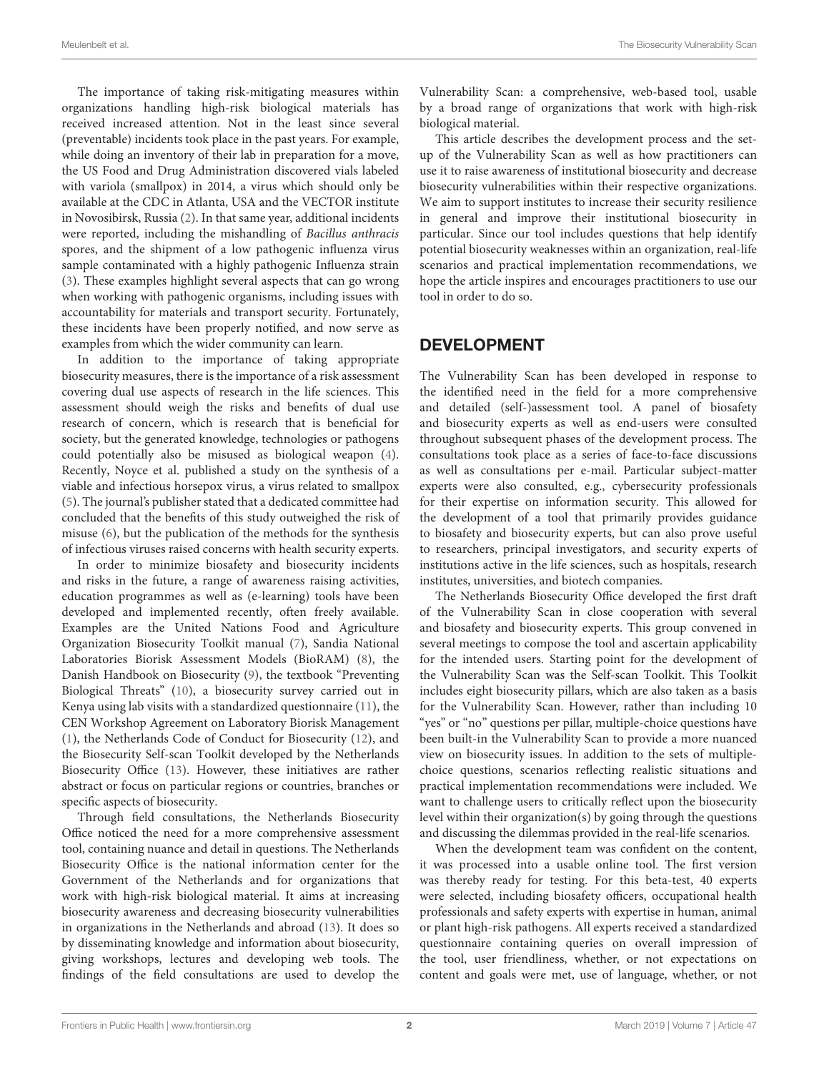The importance of taking risk-mitigating measures within organizations handling high-risk biological materials has received increased attention. Not in the least since several (preventable) incidents took place in the past years. For example, while doing an inventory of their lab in preparation for a move, the US Food and Drug Administration discovered vials labeled with variola (smallpox) in 2014, a virus which should only be available at the CDC in Atlanta, USA and the VECTOR institute in Novosibirsk, Russia [\(2\)](#page-5-1). In that same year, additional incidents were reported, including the mishandling of Bacillus anthracis spores, and the shipment of a low pathogenic influenza virus sample contaminated with a highly pathogenic Influenza strain [\(3\)](#page-5-2). These examples highlight several aspects that can go wrong when working with pathogenic organisms, including issues with accountability for materials and transport security. Fortunately, these incidents have been properly notified, and now serve as examples from which the wider community can learn.

In addition to the importance of taking appropriate biosecurity measures, there is the importance of a risk assessment covering dual use aspects of research in the life sciences. This assessment should weigh the risks and benefits of dual use research of concern, which is research that is beneficial for society, but the generated knowledge, technologies or pathogens could potentially also be misused as biological weapon [\(4\)](#page-5-3). Recently, Noyce et al. published a study on the synthesis of a viable and infectious horsepox virus, a virus related to smallpox [\(5\)](#page-5-4). The journal's publisher stated that a dedicated committee had concluded that the benefits of this study outweighed the risk of misuse [\(6\)](#page-5-5), but the publication of the methods for the synthesis of infectious viruses raised concerns with health security experts.

In order to minimize biosafety and biosecurity incidents and risks in the future, a range of awareness raising activities, education programmes as well as (e-learning) tools have been developed and implemented recently, often freely available. Examples are the United Nations Food and Agriculture Organization Biosecurity Toolkit manual [\(7\)](#page-5-6), Sandia National Laboratories Biorisk Assessment Models (BioRAM) [\(8\)](#page-5-7), the Danish Handbook on Biosecurity [\(9\)](#page-5-8), the textbook "Preventing Biological Threats" [\(10\)](#page-5-9), a biosecurity survey carried out in Kenya using lab visits with a standardized questionnaire [\(11\)](#page-5-10), the CEN Workshop Agreement on Laboratory Biorisk Management [\(1\)](#page-5-0), the Netherlands Code of Conduct for Biosecurity [\(12\)](#page-5-11), and the Biosecurity Self-scan Toolkit developed by the Netherlands Biosecurity Office [\(13\)](#page-5-12). However, these initiatives are rather abstract or focus on particular regions or countries, branches or specific aspects of biosecurity.

Through field consultations, the Netherlands Biosecurity Office noticed the need for a more comprehensive assessment tool, containing nuance and detail in questions. The Netherlands Biosecurity Office is the national information center for the Government of the Netherlands and for organizations that work with high-risk biological material. It aims at increasing biosecurity awareness and decreasing biosecurity vulnerabilities in organizations in the Netherlands and abroad [\(13\)](#page-5-12). It does so by disseminating knowledge and information about biosecurity, giving workshops, lectures and developing web tools. The findings of the field consultations are used to develop the Vulnerability Scan: a comprehensive, web-based tool, usable by a broad range of organizations that work with high-risk biological material.

This article describes the development process and the setup of the Vulnerability Scan as well as how practitioners can use it to raise awareness of institutional biosecurity and decrease biosecurity vulnerabilities within their respective organizations. We aim to support institutes to increase their security resilience in general and improve their institutional biosecurity in particular. Since our tool includes questions that help identify potential biosecurity weaknesses within an organization, real-life scenarios and practical implementation recommendations, we hope the article inspires and encourages practitioners to use our tool in order to do so.

# DEVELOPMENT

The Vulnerability Scan has been developed in response to the identified need in the field for a more comprehensive and detailed (self-)assessment tool. A panel of biosafety and biosecurity experts as well as end-users were consulted throughout subsequent phases of the development process. The consultations took place as a series of face-to-face discussions as well as consultations per e-mail. Particular subject-matter experts were also consulted, e.g., cybersecurity professionals for their expertise on information security. This allowed for the development of a tool that primarily provides guidance to biosafety and biosecurity experts, but can also prove useful to researchers, principal investigators, and security experts of institutions active in the life sciences, such as hospitals, research institutes, universities, and biotech companies.

The Netherlands Biosecurity Office developed the first draft of the Vulnerability Scan in close cooperation with several and biosafety and biosecurity experts. This group convened in several meetings to compose the tool and ascertain applicability for the intended users. Starting point for the development of the Vulnerability Scan was the Self-scan Toolkit. This Toolkit includes eight biosecurity pillars, which are also taken as a basis for the Vulnerability Scan. However, rather than including 10 "yes" or "no" questions per pillar, multiple-choice questions have been built-in the Vulnerability Scan to provide a more nuanced view on biosecurity issues. In addition to the sets of multiplechoice questions, scenarios reflecting realistic situations and practical implementation recommendations were included. We want to challenge users to critically reflect upon the biosecurity level within their organization(s) by going through the questions and discussing the dilemmas provided in the real-life scenarios.

When the development team was confident on the content, it was processed into a usable online tool. The first version was thereby ready for testing. For this beta-test, 40 experts were selected, including biosafety officers, occupational health professionals and safety experts with expertise in human, animal or plant high-risk pathogens. All experts received a standardized questionnaire containing queries on overall impression of the tool, user friendliness, whether, or not expectations on content and goals were met, use of language, whether, or not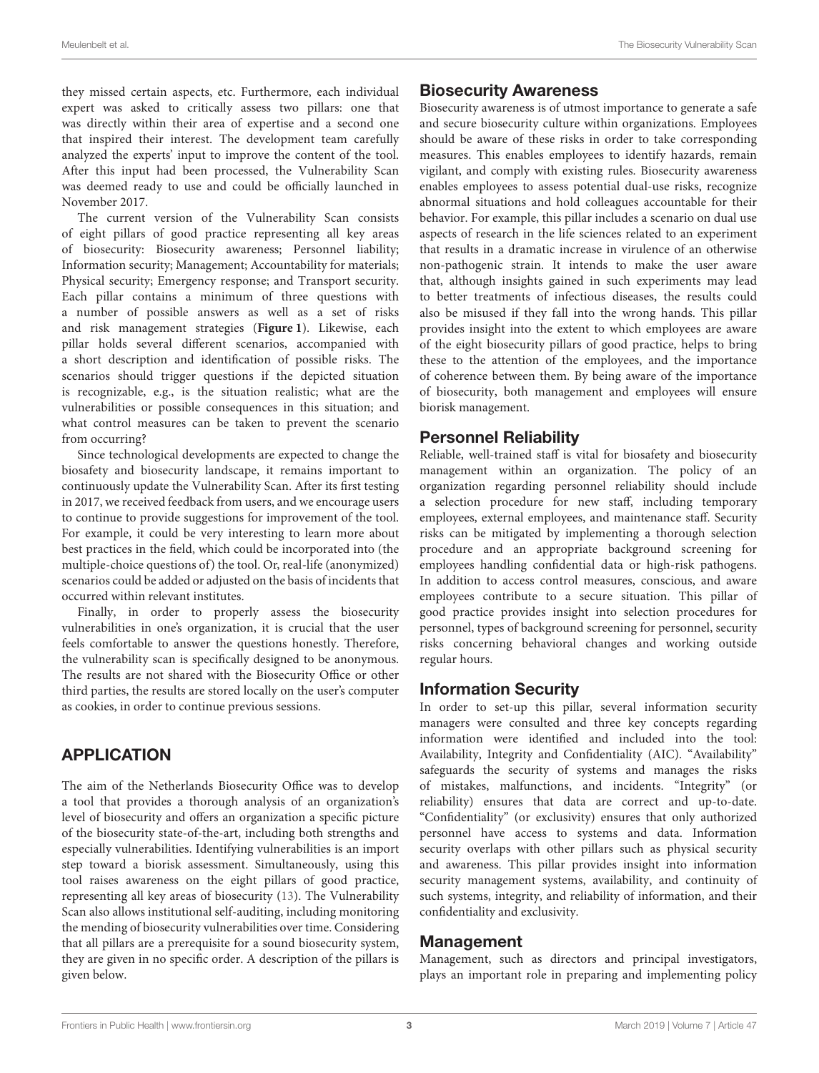they missed certain aspects, etc. Furthermore, each individual expert was asked to critically assess two pillars: one that was directly within their area of expertise and a second one that inspired their interest. The development team carefully analyzed the experts' input to improve the content of the tool. After this input had been processed, the Vulnerability Scan was deemed ready to use and could be officially launched in November 2017.

The current version of the Vulnerability Scan consists of eight pillars of good practice representing all key areas of biosecurity: Biosecurity awareness; Personnel liability; Information security; Management; Accountability for materials; Physical security; Emergency response; and Transport security. Each pillar contains a minimum of three questions with a number of possible answers as well as a set of risks and risk management strategies (**[Figure 1](#page-3-0)**). Likewise, each pillar holds several different scenarios, accompanied with a short description and identification of possible risks. The scenarios should trigger questions if the depicted situation is recognizable, e.g., is the situation realistic; what are the vulnerabilities or possible consequences in this situation; and what control measures can be taken to prevent the scenario from occurring?

Since technological developments are expected to change the biosafety and biosecurity landscape, it remains important to continuously update the Vulnerability Scan. After its first testing in 2017, we received feedback from users, and we encourage users to continue to provide suggestions for improvement of the tool. For example, it could be very interesting to learn more about best practices in the field, which could be incorporated into (the multiple-choice questions of) the tool. Or, real-life (anonymized) scenarios could be added or adjusted on the basis of incidents that occurred within relevant institutes.

Finally, in order to properly assess the biosecurity vulnerabilities in one's organization, it is crucial that the user feels comfortable to answer the questions honestly. Therefore, the vulnerability scan is specifically designed to be anonymous. The results are not shared with the Biosecurity Office or other third parties, the results are stored locally on the user's computer as cookies, in order to continue previous sessions.

# APPLICATION

The aim of the Netherlands Biosecurity Office was to develop a tool that provides a thorough analysis of an organization's level of biosecurity and offers an organization a specific picture of the biosecurity state-of-the-art, including both strengths and especially vulnerabilities. Identifying vulnerabilities is an import step toward a biorisk assessment. Simultaneously, using this tool raises awareness on the eight pillars of good practice, representing all key areas of biosecurity [\(13\)](#page-5-12). The Vulnerability Scan also allows institutional self-auditing, including monitoring the mending of biosecurity vulnerabilities over time. Considering that all pillars are a prerequisite for a sound biosecurity system, they are given in no specific order. A description of the pillars is given below.

### Biosecurity Awareness

Biosecurity awareness is of utmost importance to generate a safe and secure biosecurity culture within organizations. Employees should be aware of these risks in order to take corresponding measures. This enables employees to identify hazards, remain vigilant, and comply with existing rules. Biosecurity awareness enables employees to assess potential dual-use risks, recognize abnormal situations and hold colleagues accountable for their behavior. For example, this pillar includes a scenario on dual use aspects of research in the life sciences related to an experiment that results in a dramatic increase in virulence of an otherwise non-pathogenic strain. It intends to make the user aware that, although insights gained in such experiments may lead to better treatments of infectious diseases, the results could also be misused if they fall into the wrong hands. This pillar provides insight into the extent to which employees are aware of the eight biosecurity pillars of good practice, helps to bring these to the attention of the employees, and the importance of coherence between them. By being aware of the importance of biosecurity, both management and employees will ensure biorisk management.

# Personnel Reliability

Reliable, well-trained staff is vital for biosafety and biosecurity management within an organization. The policy of an organization regarding personnel reliability should include a selection procedure for new staff, including temporary employees, external employees, and maintenance staff. Security risks can be mitigated by implementing a thorough selection procedure and an appropriate background screening for employees handling confidential data or high-risk pathogens. In addition to access control measures, conscious, and aware employees contribute to a secure situation. This pillar of good practice provides insight into selection procedures for personnel, types of background screening for personnel, security risks concerning behavioral changes and working outside regular hours.

# Information Security

In order to set-up this pillar, several information security managers were consulted and three key concepts regarding information were identified and included into the tool: Availability, Integrity and Confidentiality (AIC). "Availability" safeguards the security of systems and manages the risks of mistakes, malfunctions, and incidents. "Integrity" (or reliability) ensures that data are correct and up-to-date. "Confidentiality" (or exclusivity) ensures that only authorized personnel have access to systems and data. Information security overlaps with other pillars such as physical security and awareness. This pillar provides insight into information security management systems, availability, and continuity of such systems, integrity, and reliability of information, and their confidentiality and exclusivity.

### Management

Management, such as directors and principal investigators, plays an important role in preparing and implementing policy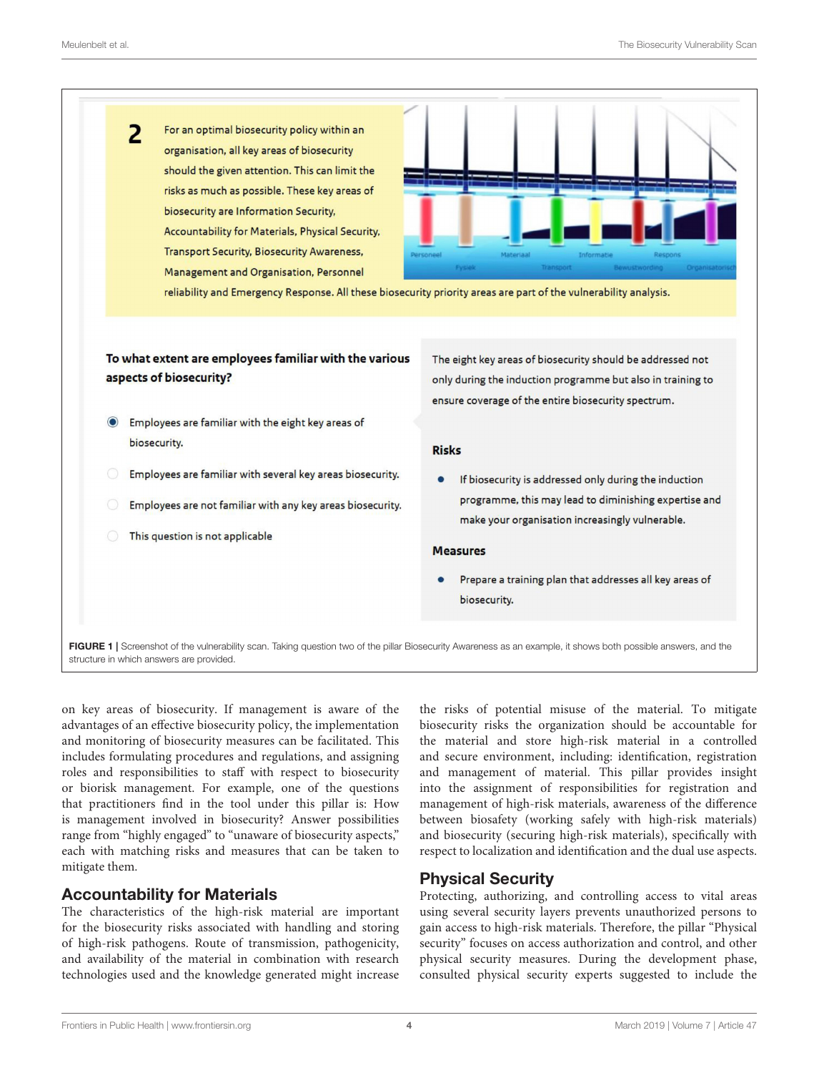

<span id="page-3-0"></span>on key areas of biosecurity. If management is aware of the advantages of an effective biosecurity policy, the implementation and monitoring of biosecurity measures can be facilitated. This includes formulating procedures and regulations, and assigning roles and responsibilities to staff with respect to biosecurity or biorisk management. For example, one of the questions that practitioners find in the tool under this pillar is: How is management involved in biosecurity? Answer possibilities range from "highly engaged" to "unaware of biosecurity aspects," each with matching risks and measures that can be taken to mitigate them.

### Accountability for Materials

The characteristics of the high-risk material are important for the biosecurity risks associated with handling and storing of high-risk pathogens. Route of transmission, pathogenicity, and availability of the material in combination with research technologies used and the knowledge generated might increase the risks of potential misuse of the material. To mitigate biosecurity risks the organization should be accountable for the material and store high-risk material in a controlled and secure environment, including: identification, registration and management of material. This pillar provides insight into the assignment of responsibilities for registration and management of high-risk materials, awareness of the difference between biosafety (working safely with high-risk materials) and biosecurity (securing high-risk materials), specifically with respect to localization and identification and the dual use aspects.

# Physical Security

Protecting, authorizing, and controlling access to vital areas using several security layers prevents unauthorized persons to gain access to high-risk materials. Therefore, the pillar "Physical security" focuses on access authorization and control, and other physical security measures. During the development phase, consulted physical security experts suggested to include the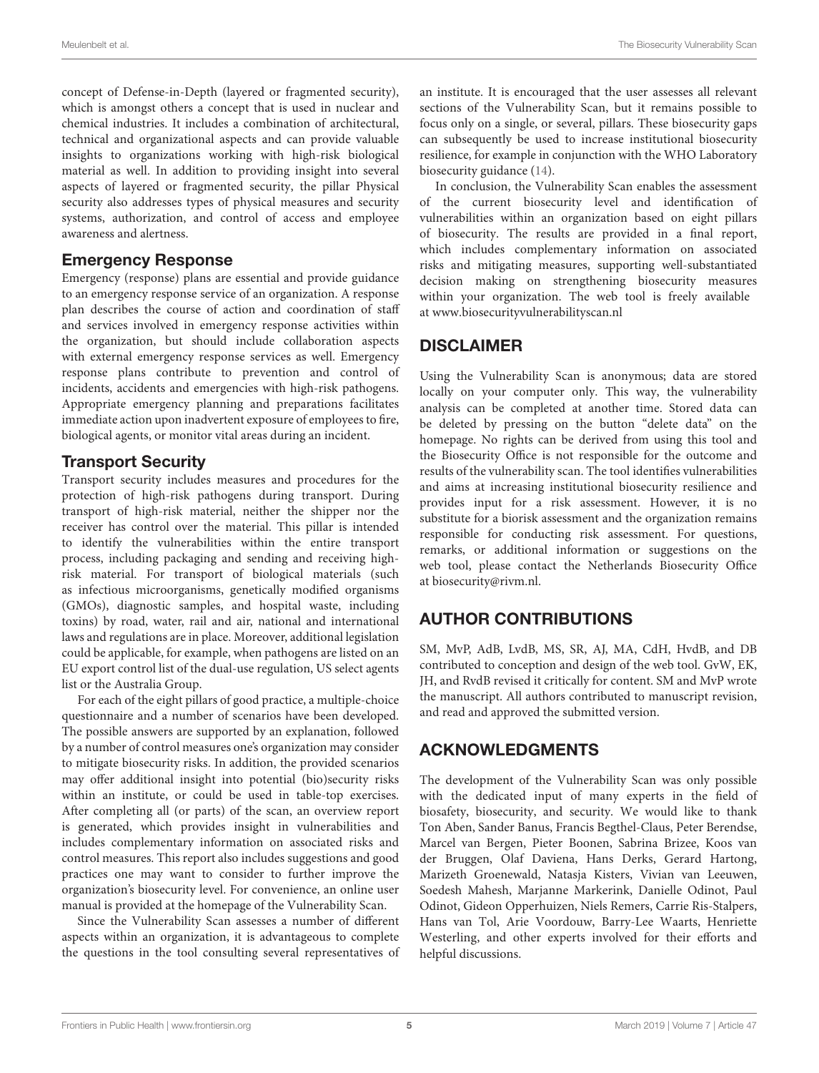concept of Defense-in-Depth (layered or fragmented security), which is amongst others a concept that is used in nuclear and chemical industries. It includes a combination of architectural, technical and organizational aspects and can provide valuable insights to organizations working with high-risk biological material as well. In addition to providing insight into several aspects of layered or fragmented security, the pillar Physical security also addresses types of physical measures and security systems, authorization, and control of access and employee awareness and alertness.

#### Emergency Response

Emergency (response) plans are essential and provide guidance to an emergency response service of an organization. A response plan describes the course of action and coordination of staff and services involved in emergency response activities within the organization, but should include collaboration aspects with external emergency response services as well. Emergency response plans contribute to prevention and control of incidents, accidents and emergencies with high-risk pathogens. Appropriate emergency planning and preparations facilitates immediate action upon inadvertent exposure of employees to fire, biological agents, or monitor vital areas during an incident.

### Transport Security

Transport security includes measures and procedures for the protection of high-risk pathogens during transport. During transport of high-risk material, neither the shipper nor the receiver has control over the material. This pillar is intended to identify the vulnerabilities within the entire transport process, including packaging and sending and receiving highrisk material. For transport of biological materials (such as infectious microorganisms, genetically modified organisms (GMOs), diagnostic samples, and hospital waste, including toxins) by road, water, rail and air, national and international laws and regulations are in place. Moreover, additional legislation could be applicable, for example, when pathogens are listed on an EU export control list of the dual-use regulation, US select agents list or the Australia Group.

For each of the eight pillars of good practice, a multiple-choice questionnaire and a number of scenarios have been developed. The possible answers are supported by an explanation, followed by a number of control measures one's organization may consider to mitigate biosecurity risks. In addition, the provided scenarios may offer additional insight into potential (bio)security risks within an institute, or could be used in table-top exercises. After completing all (or parts) of the scan, an overview report is generated, which provides insight in vulnerabilities and includes complementary information on associated risks and control measures. This report also includes suggestions and good practices one may want to consider to further improve the organization's biosecurity level. For convenience, an online user manual is provided at the homepage of the Vulnerability Scan.

Since the Vulnerability Scan assesses a number of different aspects within an organization, it is advantageous to complete the questions in the tool consulting several representatives of an institute. It is encouraged that the user assesses all relevant sections of the Vulnerability Scan, but it remains possible to focus only on a single, or several, pillars. These biosecurity gaps can subsequently be used to increase institutional biosecurity resilience, for example in conjunction with the WHO Laboratory biosecurity guidance [\(14\)](#page-5-13).

In conclusion, the Vulnerability Scan enables the assessment of the current biosecurity level and identification of vulnerabilities within an organization based on eight pillars of biosecurity. The results are provided in a final report, which includes complementary information on associated risks and mitigating measures, supporting well-substantiated decision making on strengthening biosecurity measures within your organization. The web tool is freely available at<www.biosecurityvulnerabilityscan.nl>

### DISCLAIMER

Using the Vulnerability Scan is anonymous; data are stored locally on your computer only. This way, the vulnerability analysis can be completed at another time. Stored data can be deleted by pressing on the button "delete data" on the homepage. No rights can be derived from using this tool and the Biosecurity Office is not responsible for the outcome and results of the vulnerability scan. The tool identifies vulnerabilities and aims at increasing institutional biosecurity resilience and provides input for a risk assessment. However, it is no substitute for a biorisk assessment and the organization remains responsible for conducting risk assessment. For questions, remarks, or additional information or suggestions on the web tool, please contact the Netherlands Biosecurity Office at biosecurity@rivm.nl.

### AUTHOR CONTRIBUTIONS

SM, MvP, AdB, LvdB, MS, SR, AJ, MA, CdH, HvdB, and DB contributed to conception and design of the web tool. GvW, EK, JH, and RvdB revised it critically for content. SM and MvP wrote the manuscript. All authors contributed to manuscript revision, and read and approved the submitted version.

### ACKNOWLEDGMENTS

The development of the Vulnerability Scan was only possible with the dedicated input of many experts in the field of biosafety, biosecurity, and security. We would like to thank Ton Aben, Sander Banus, Francis Begthel-Claus, Peter Berendse, Marcel van Bergen, Pieter Boonen, Sabrina Brizee, Koos van der Bruggen, Olaf Daviena, Hans Derks, Gerard Hartong, Marizeth Groenewald, Natasja Kisters, Vivian van Leeuwen, Soedesh Mahesh, Marjanne Markerink, Danielle Odinot, Paul Odinot, Gideon Opperhuizen, Niels Remers, Carrie Ris-Stalpers, Hans van Tol, Arie Voordouw, Barry-Lee Waarts, Henriette Westerling, and other experts involved for their efforts and helpful discussions.